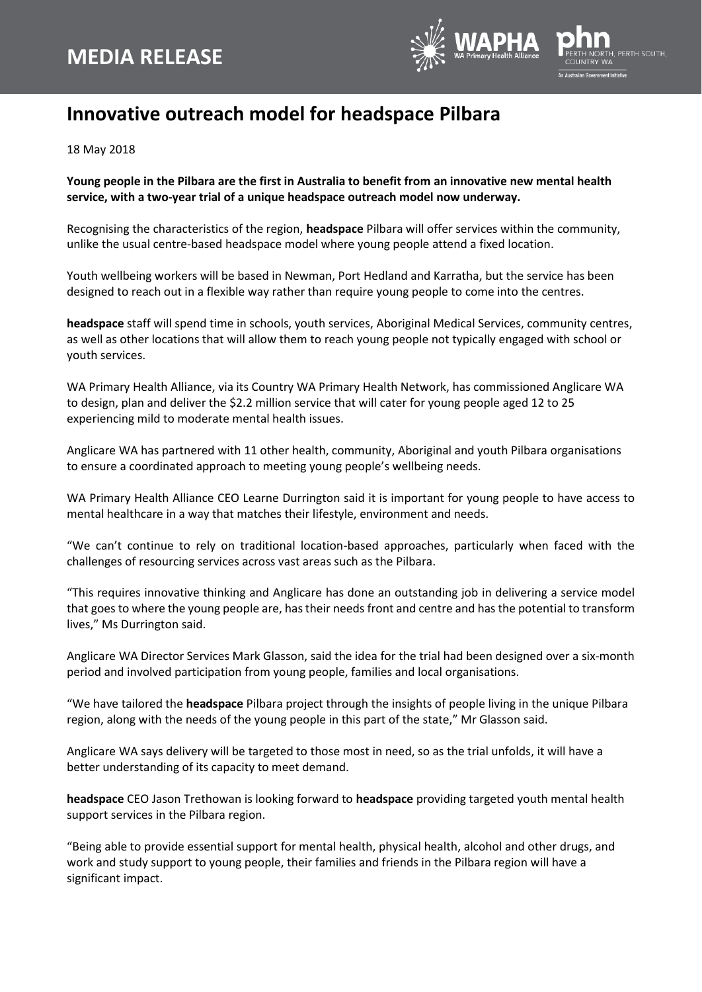

## **Innovative outreach model for headspace Pilbara**

18 May 2018

## **Young people in the Pilbara are the first in Australia to benefit from an innovative new mental health service, with a two-year trial of a unique headspace outreach model now underway.**

Recognising the characteristics of the region, **headspace** Pilbara will offer services within the community, unlike the usual centre-based headspace model where young people attend a fixed location.

Youth wellbeing workers will be based in Newman, Port Hedland and Karratha, but the service has been designed to reach out in a flexible way rather than require young people to come into the centres.

**headspace** staff will spend time in schools, youth services, Aboriginal Medical Services, community centres, as well as other locations that will allow them to reach young people not typically engaged with school or youth services.

WA Primary Health Alliance, via its Country WA Primary Health Network, has commissioned Anglicare WA to design, plan and deliver the \$2.2 million service that will cater for young people aged 12 to 25 experiencing mild to moderate mental health issues.

Anglicare WA has partnered with 11 other health, community, Aboriginal and youth Pilbara organisations to ensure a coordinated approach to meeting young people's wellbeing needs.

WA Primary Health Alliance CEO Learne Durrington said it is important for young people to have access to mental healthcare in a way that matches their lifestyle, environment and needs.

"We can't continue to rely on traditional location-based approaches, particularly when faced with the challenges of resourcing services across vast areas such as the Pilbara.

"This requires innovative thinking and Anglicare has done an outstanding job in delivering a service model that goes to where the young people are, has their needs front and centre and has the potential to transform lives," Ms Durrington said.

Anglicare WA Director Services Mark Glasson, said the idea for the trial had been designed over a six-month period and involved participation from young people, families and local organisations.

"We have tailored the **headspace** Pilbara project through the insights of people living in the unique Pilbara region, along with the needs of the young people in this part of the state," Mr Glasson said.

Anglicare WA says delivery will be targeted to those most in need, so as the trial unfolds, it will have a better understanding of its capacity to meet demand.

**headspace** CEO Jason Trethowan is looking forward to **headspace** providing targeted youth mental health support services in the Pilbara region.

"Being able to provide essential support for mental health, physical health, alcohol and other drugs, and work and study support to young people, their families and friends in the Pilbara region will have a significant impact.